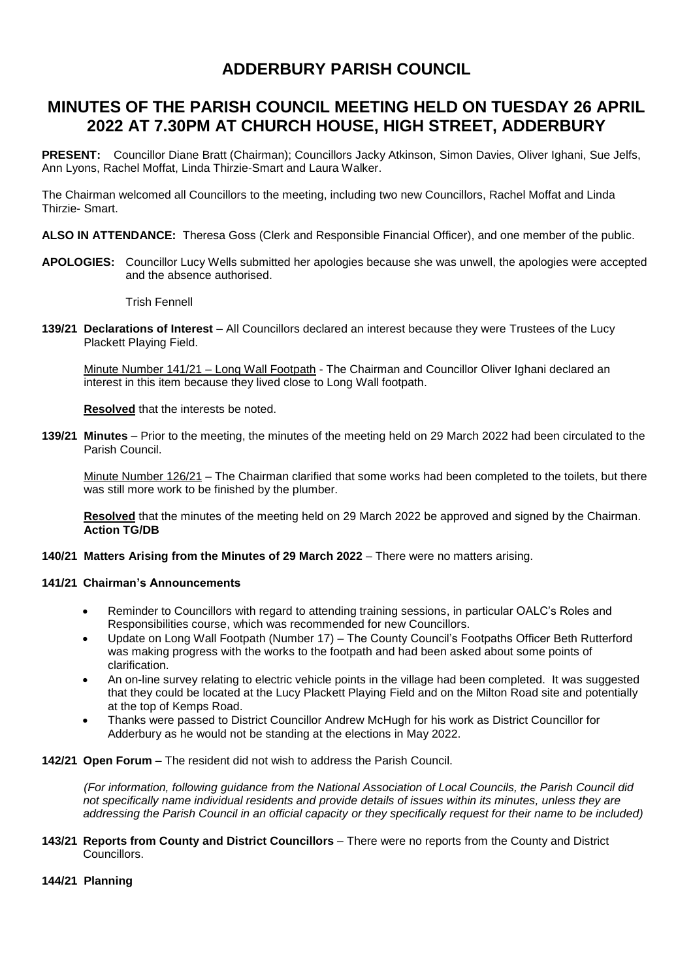## **MINUTES OF THE PARISH COUNCIL MEETING HELD ON TUESDAY 26 APRIL 2022 AT 7.30PM AT CHURCH HOUSE, HIGH STREET, ADDERBURY**

**PRESENT:** Councillor Diane Bratt (Chairman); Councillors Jacky Atkinson, Simon Davies, Oliver Ighani, Sue Jelfs, Ann Lyons, Rachel Moffat, Linda Thirzie-Smart and Laura Walker.

The Chairman welcomed all Councillors to the meeting, including two new Councillors, Rachel Moffat and Linda Thirzie- Smart.

**ALSO IN ATTENDANCE:** Theresa Goss (Clerk and Responsible Financial Officer), and one member of the public.

**APOLOGIES:** Councillor Lucy Wells submitted her apologies because she was unwell, the apologies were accepted and the absence authorised.

Trish Fennell

**139/21 Declarations of Interest** – All Councillors declared an interest because they were Trustees of the Lucy Plackett Playing Field.

Minute Number 141/21 – Long Wall Footpath - The Chairman and Councillor Oliver Ighani declared an interest in this item because they lived close to Long Wall footpath.

**Resolved** that the interests be noted.

**139/21 Minutes** – Prior to the meeting, the minutes of the meeting held on 29 March 2022 had been circulated to the Parish Council.

Minute Number 126/21 – The Chairman clarified that some works had been completed to the toilets, but there was still more work to be finished by the plumber.

**Resolved** that the minutes of the meeting held on 29 March 2022 be approved and signed by the Chairman. **Action TG/DB**

**140/21 Matters Arising from the Minutes of 29 March 2022** – There were no matters arising.

#### **141/21 Chairman's Announcements**

- Reminder to Councillors with regard to attending training sessions, in particular OALC's Roles and Responsibilities course, which was recommended for new Councillors.
- Update on Long Wall Footpath (Number 17) The County Council's Footpaths Officer Beth Rutterford was making progress with the works to the footpath and had been asked about some points of clarification.
- An on-line survey relating to electric vehicle points in the village had been completed. It was suggested that they could be located at the Lucy Plackett Playing Field and on the Milton Road site and potentially at the top of Kemps Road.
- Thanks were passed to District Councillor Andrew McHugh for his work as District Councillor for Adderbury as he would not be standing at the elections in May 2022.

**142/21 Open Forum** – The resident did not wish to address the Parish Council.

*(For information, following guidance from the National Association of Local Councils, the Parish Council did not specifically name individual residents and provide details of issues within its minutes, unless they are addressing the Parish Council in an official capacity or they specifically request for their name to be included)*

#### **143/21 Reports from County and District Councillors** – There were no reports from the County and District Councillors.

#### **144/21 Planning**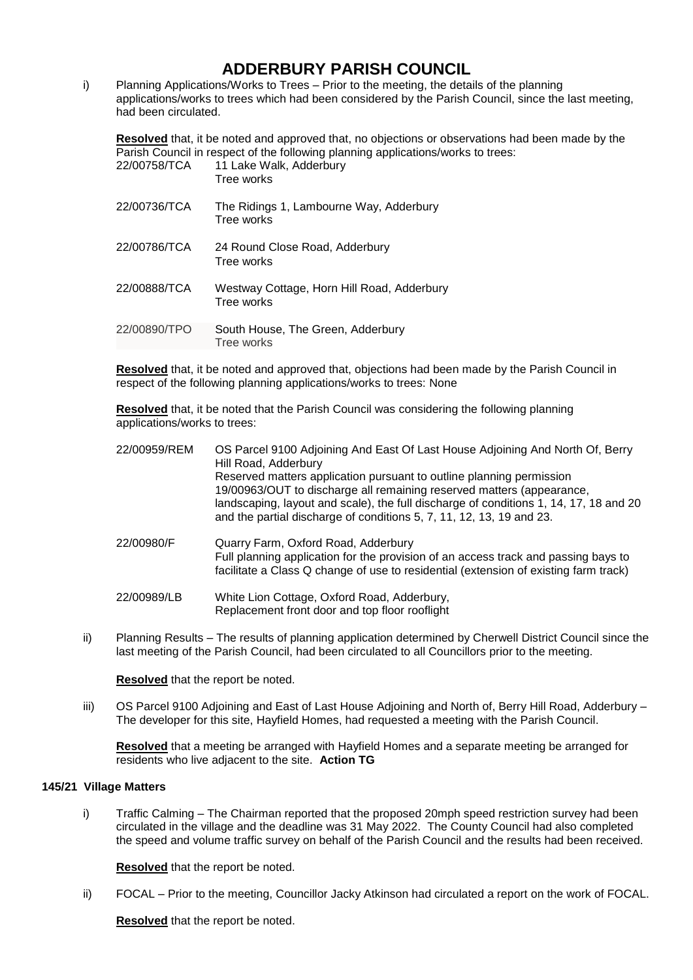i) Planning Applications/Works to Trees – Prior to the meeting, the details of the planning applications/works to trees which had been considered by the Parish Council, since the last meeting, had been circulated.

**Resolved** that, it be noted and approved that, no objections or observations had been made by the Parish Council in respect of the following planning applications/works to trees:

| 22/00758/TCA | 11 Lake Walk, Adderbury<br>Tree works                    |
|--------------|----------------------------------------------------------|
| 22/00736/TCA | The Ridings 1, Lambourne Way, Adderbury<br>Tree works    |
| 22/00786/TCA | 24 Round Close Road, Adderbury<br>Tree works             |
| 22/00888/TCA | Westway Cottage, Horn Hill Road, Adderbury<br>Tree works |
| 22/00890/TPO | South House, The Green, Adderbury<br>Tree works          |

**Resolved** that, it be noted and approved that, objections had been made by the Parish Council in respect of the following planning applications/works to trees: None

**Resolved** that, it be noted that the Parish Council was considering the following planning applications/works to trees:

| 22/00959/REM | OS Parcel 9100 Adjoining And East Of Last House Adjoining And North Of, Berry<br>Hill Road, Adderbury<br>Reserved matters application pursuant to outline planning permission<br>19/00963/OUT to discharge all remaining reserved matters (appearance,<br>landscaping, layout and scale), the full discharge of conditions 1, 14, 17, 18 and 20<br>and the partial discharge of conditions 5, 7, 11, 12, 13, 19 and 23. |
|--------------|-------------------------------------------------------------------------------------------------------------------------------------------------------------------------------------------------------------------------------------------------------------------------------------------------------------------------------------------------------------------------------------------------------------------------|
| 22/00980/F   | Quarry Farm, Oxford Road, Adderbury<br>Full planning application for the provision of an access track and passing bays to<br>facilitate a Class Q change of use to residential (extension of existing farm track)                                                                                                                                                                                                       |
| 22/00989/LB  | White Lion Cottage, Oxford Road, Adderbury,<br>Replacement front door and top floor rooflight                                                                                                                                                                                                                                                                                                                           |

ii) Planning Results – The results of planning application determined by Cherwell District Council since the last meeting of the Parish Council, had been circulated to all Councillors prior to the meeting.

**Resolved** that the report be noted.

iii) OS Parcel 9100 Adjoining and East of Last House Adjoining and North of, Berry Hill Road, Adderbury – The developer for this site, Hayfield Homes, had requested a meeting with the Parish Council.

**Resolved** that a meeting be arranged with Hayfield Homes and a separate meeting be arranged for residents who live adjacent to the site. **Action TG**

#### **145/21 Village Matters**

i) Traffic Calming – The Chairman reported that the proposed 20mph speed restriction survey had been circulated in the village and the deadline was 31 May 2022. The County Council had also completed the speed and volume traffic survey on behalf of the Parish Council and the results had been received.

**Resolved** that the report be noted.

ii) FOCAL – Prior to the meeting, Councillor Jacky Atkinson had circulated a report on the work of FOCAL.

**Resolved** that the report be noted.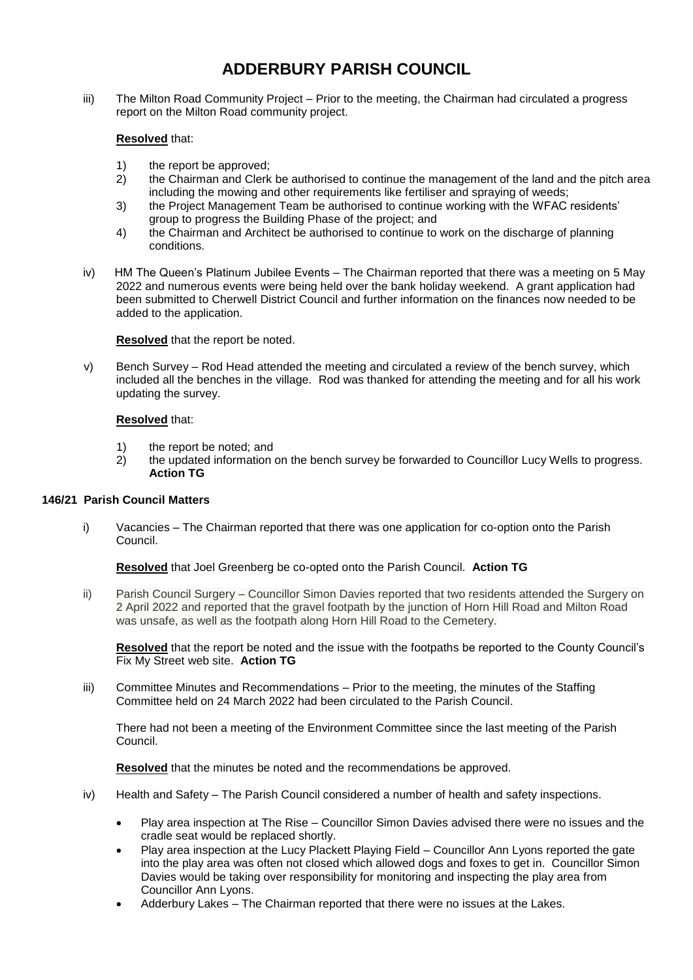iii) The Milton Road Community Project – Prior to the meeting, the Chairman had circulated a progress report on the Milton Road community project.

### **Resolved** that:

- 1) the report be approved;
- 2) the Chairman and Clerk be authorised to continue the management of the land and the pitch area including the mowing and other requirements like fertiliser and spraying of weeds;
- 3) the Project Management Team be authorised to continue working with the WFAC residents' group to progress the Building Phase of the project; and
- 4) the Chairman and Architect be authorised to continue to work on the discharge of planning conditions.
- iv) HM The Queen's Platinum Jubilee Events The Chairman reported that there was a meeting on 5 May 2022 and numerous events were being held over the bank holiday weekend. A grant application had been submitted to Cherwell District Council and further information on the finances now needed to be added to the application.

**Resolved** that the report be noted.

v) Bench Survey – Rod Head attended the meeting and circulated a review of the bench survey, which included all the benches in the village. Rod was thanked for attending the meeting and for all his work updating the survey.

#### **Resolved** that:

- 1) the report be noted; and
- 2) the updated information on the bench survey be forwarded to Councillor Lucy Wells to progress. **Action TG**

### **146/21 Parish Council Matters**

i) Vacancies – The Chairman reported that there was one application for co-option onto the Parish Council.

#### **Resolved** that Joel Greenberg be co-opted onto the Parish Council. **Action TG**

ii) Parish Council Surgery – Councillor Simon Davies reported that two residents attended the Surgery on 2 April 2022 and reported that the gravel footpath by the junction of Horn Hill Road and Milton Road was unsafe, as well as the footpath along Horn Hill Road to the Cemetery.

**Resolved** that the report be noted and the issue with the footpaths be reported to the County Council's Fix My Street web site. **Action TG**

iii) Committee Minutes and Recommendations – Prior to the meeting, the minutes of the Staffing Committee held on 24 March 2022 had been circulated to the Parish Council.

There had not been a meeting of the Environment Committee since the last meeting of the Parish Council.

**Resolved** that the minutes be noted and the recommendations be approved.

- iv) Health and Safety The Parish Council considered a number of health and safety inspections.
	- Play area inspection at The Rise Councillor Simon Davies advised there were no issues and the cradle seat would be replaced shortly.
	- Play area inspection at the Lucy Plackett Playing Field Councillor Ann Lyons reported the gate into the play area was often not closed which allowed dogs and foxes to get in. Councillor Simon Davies would be taking over responsibility for monitoring and inspecting the play area from Councillor Ann Lyons.
	- Adderbury Lakes The Chairman reported that there were no issues at the Lakes.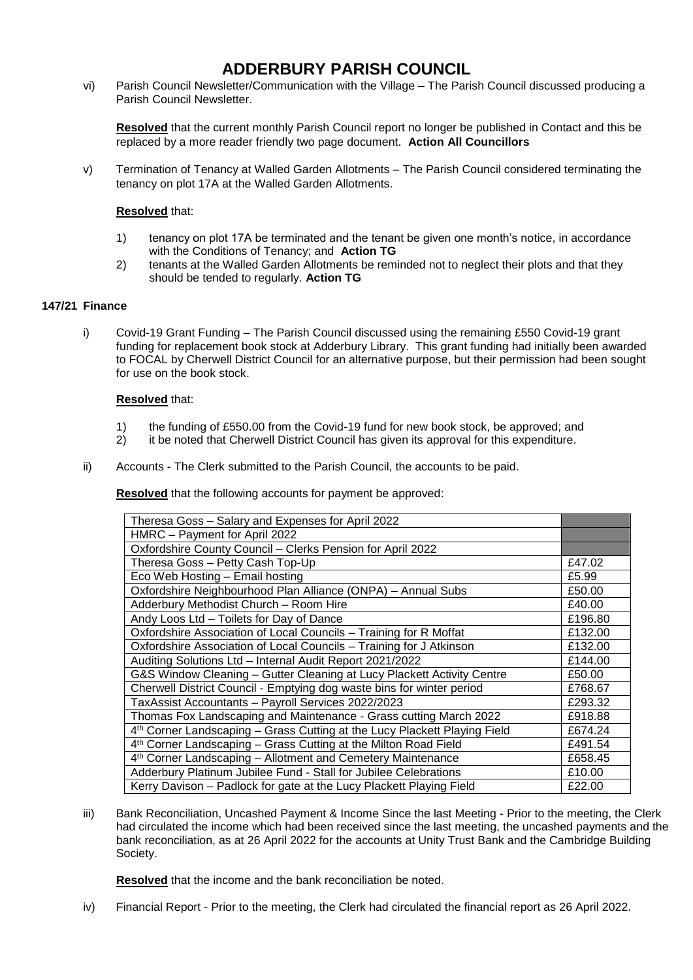vi) Parish Council Newsletter/Communication with the Village – The Parish Council discussed producing a Parish Council Newsletter.

**Resolved** that the current monthly Parish Council report no longer be published in Contact and this be replaced by a more reader friendly two page document. **Action All Councillors**

v) Termination of Tenancy at Walled Garden Allotments – The Parish Council considered terminating the tenancy on plot 17A at the Walled Garden Allotments.

### **Resolved** that:

- 1) tenancy on plot 17A be terminated and the tenant be given one month's notice, in accordance with the Conditions of Tenancy; and **Action TG**
- 2) tenants at the Walled Garden Allotments be reminded not to neglect their plots and that they should be tended to regularly. **Action TG**

### **147/21 Finance**

i) Covid-19 Grant Funding – The Parish Council discussed using the remaining £550 Covid-19 grant funding for replacement book stock at Adderbury Library. This grant funding had initially been awarded to FOCAL by Cherwell District Council for an alternative purpose, but their permission had been sought for use on the book stock.

### **Resolved** that:

- 1) the funding of £550.00 from the Covid-19 fund for new book stock, be approved; and
- 2) it be noted that Cherwell District Council has given its approval for this expenditure.
- ii) Accounts The Clerk submitted to the Parish Council, the accounts to be paid.

**Resolved** that the following accounts for payment be approved:

| Theresa Goss - Salary and Expenses for April 2022                                     |         |  |
|---------------------------------------------------------------------------------------|---------|--|
| HMRC - Payment for April 2022                                                         |         |  |
| Oxfordshire County Council - Clerks Pension for April 2022                            |         |  |
| Theresa Goss - Petty Cash Top-Up                                                      | £47.02  |  |
| Eco Web Hosting - Email hosting                                                       | £5.99   |  |
| Oxfordshire Neighbourhood Plan Alliance (ONPA) - Annual Subs                          | £50.00  |  |
| Adderbury Methodist Church - Room Hire                                                |         |  |
| Andy Loos Ltd - Toilets for Day of Dance                                              | £196.80 |  |
| Oxfordshire Association of Local Councils - Training for R Moffat                     | £132.00 |  |
| Oxfordshire Association of Local Councils - Training for J Atkinson                   | £132.00 |  |
| Auditing Solutions Ltd - Internal Audit Report 2021/2022                              | £144.00 |  |
| G&S Window Cleaning - Gutter Cleaning at Lucy Plackett Activity Centre                | £50.00  |  |
| Cherwell District Council - Emptying dog waste bins for winter period                 |         |  |
| TaxAssist Accountants - Payroll Services 2022/2023                                    |         |  |
| Thomas Fox Landscaping and Maintenance - Grass cutting March 2022                     |         |  |
| 4 <sup>th</sup> Corner Landscaping – Grass Cutting at the Lucy Plackett Playing Field |         |  |
| 4th Corner Landscaping - Grass Cutting at the Milton Road Field                       |         |  |
| 4th Corner Landscaping - Allotment and Cemetery Maintenance                           |         |  |
| Adderbury Platinum Jubilee Fund - Stall for Jubilee Celebrations                      |         |  |
| Kerry Davison - Padlock for gate at the Lucy Plackett Playing Field                   |         |  |

iii) Bank Reconciliation, Uncashed Payment & Income Since the last Meeting - Prior to the meeting, the Clerk had circulated the income which had been received since the last meeting, the uncashed payments and the bank reconciliation, as at 26 April 2022 for the accounts at Unity Trust Bank and the Cambridge Building Society.

**Resolved** that the income and the bank reconciliation be noted.

iv) Financial Report - Prior to the meeting, the Clerk had circulated the financial report as 26 April 2022.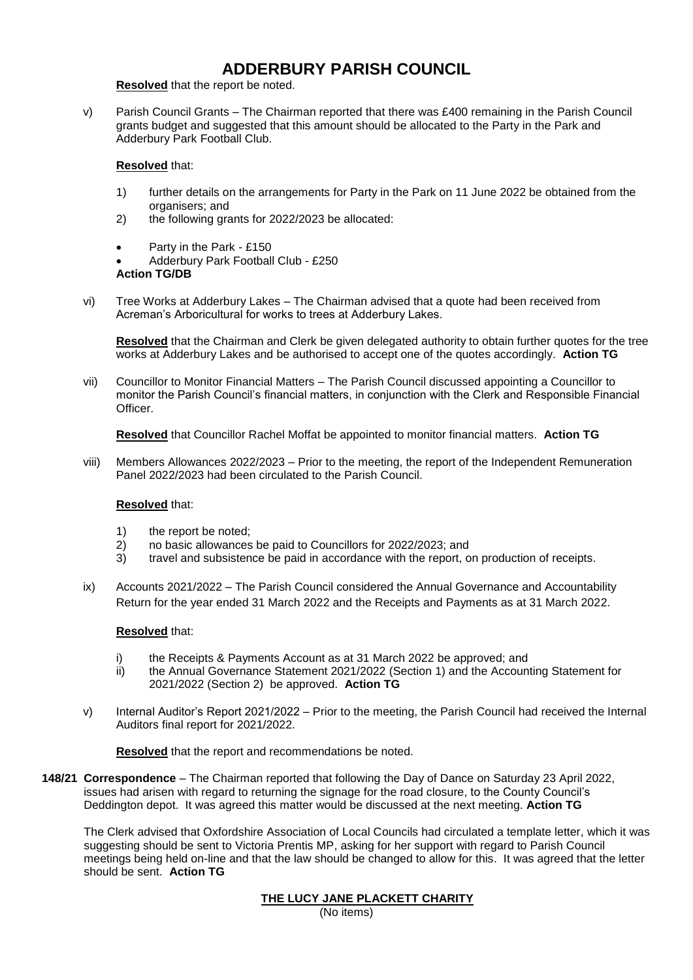**Resolved** that the report be noted.

v) Parish Council Grants – The Chairman reported that there was £400 remaining in the Parish Council grants budget and suggested that this amount should be allocated to the Party in the Park and Adderbury Park Football Club.

### **Resolved** that:

- 1) further details on the arrangements for Party in the Park on 11 June 2022 be obtained from the organisers; and
- 2) the following grants for 2022/2023 be allocated:
- Party in the Park £150

 Adderbury Park Football Club - £250 **Action TG/DB**

vi) Tree Works at Adderbury Lakes – The Chairman advised that a quote had been received from Acreman's Arboricultural for works to trees at Adderbury Lakes.

**Resolved** that the Chairman and Clerk be given delegated authority to obtain further quotes for the tree works at Adderbury Lakes and be authorised to accept one of the quotes accordingly. **Action TG**

vii) Councillor to Monitor Financial Matters – The Parish Council discussed appointing a Councillor to monitor the Parish Council's financial matters, in conjunction with the Clerk and Responsible Financial Officer.

**Resolved** that Councillor Rachel Moffat be appointed to monitor financial matters. **Action TG**

viii) Members Allowances 2022/2023 – Prior to the meeting, the report of the Independent Remuneration Panel 2022/2023 had been circulated to the Parish Council.

### **Resolved** that:

- 1) the report be noted;
- 2) no basic allowances be paid to Councillors for 2022/2023; and
- 3) travel and subsistence be paid in accordance with the report, on production of receipts.
- ix) Accounts 2021/2022 The Parish Council considered the Annual Governance and Accountability Return for the year ended 31 March 2022 and the Receipts and Payments as at 31 March 2022.

### **Resolved** that:

- i) the Receipts & Payments Account as at 31 March 2022 be approved; and
- ii) the Annual Governance Statement 2021/2022 (Section 1) and the Accounting Statement for 2021/2022 (Section 2) be approved. **Action TG**
- v) Internal Auditor's Report 2021/2022 Prior to the meeting, the Parish Council had received the Internal Auditors final report for 2021/2022.

**Resolved** that the report and recommendations be noted.

**148/21 Correspondence** – The Chairman reported that following the Day of Dance on Saturday 23 April 2022, issues had arisen with regard to returning the signage for the road closure, to the County Council's Deddington depot. It was agreed this matter would be discussed at the next meeting. **Action TG**

The Clerk advised that Oxfordshire Association of Local Councils had circulated a template letter, which it was suggesting should be sent to Victoria Prentis MP, asking for her support with regard to Parish Council meetings being held on-line and that the law should be changed to allow for this. It was agreed that the letter should be sent. **Action TG**

### **THE LUCY JANE PLACKETT CHARITY**

(No items)